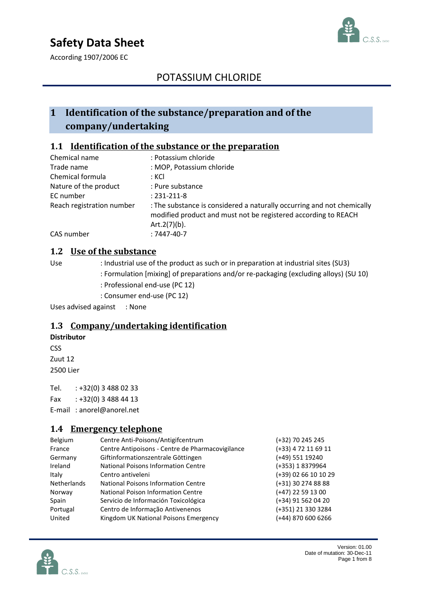# **Safety Data Sheet**



According 1907/2006 EC

## POTASSIUM CHLORIDE

## **1 Identification of the substance/preparation and of the company/undertaking**

## **1.1 Identification of the substance or the preparation**

| Chemical name             | : Potassium chloride                                                                                                                                         |
|---------------------------|--------------------------------------------------------------------------------------------------------------------------------------------------------------|
| Trade name                | : MOP, Potassium chloride                                                                                                                                    |
| Chemical formula          | : KCI                                                                                                                                                        |
| Nature of the product     | : Pure substance                                                                                                                                             |
| EC number                 | $: 231 - 211 - 8$                                                                                                                                            |
| Reach registration number | : The substance is considered a naturally occurring and not chemically<br>modified product and must not be registered according to REACH<br>Art. $2(7)(b)$ . |
| CAS number                | $:7447-40-7$                                                                                                                                                 |

#### **1.2 Use of the substance**

Use : Industrial use of the product as such or in preparation at industrial sites (SU3)

- : Formulation [mixing] of preparations and/or re-packaging (excluding alloys) (SU 10)
- : Professional end-use (PC 12)
- : Consumer end-use (PC 12)

Uses advised against : None

#### **1.3 Company/undertaking identification**

#### **Distributor**

**CSS** 

Zuut 12 2500 Lier

Tel. : +32(0) 3 488 02 33 Fax : +32(0) 3 488 44 13

E-mail : anorel@anorel.net

#### **1.4 Emergency telephone**

| Centre Anti-Poisons/Antigifcentrum               | (+32) 70 245 245     |
|--------------------------------------------------|----------------------|
| Centre Antipoisons - Centre de Pharmacovigilance | (+33) 4 72 11 69 11  |
| Giftinformationszentrale Göttingen               | (+49) 551 19240      |
| National Poisons Information Centre              | (+353) 18379964      |
| Centro antiveleni                                | (+39) 02 66 10 10 29 |
| National Poisons Information Centre              | (+31) 30 274 88 88   |
| National Poison Information Centre               | (+47) 22 59 13 00    |
| Servicio de Información Toxicológica             | (+34) 91 562 04 20   |
| Centro de Informação Antivenenos                 | (+351) 21 330 3284   |
| Kingdom UK National Poisons Emergency            | (+44) 870 600 6266   |
|                                                  |                      |



Version: 01.00 Date of mutation: 30-Dec-11 Page 1 from 8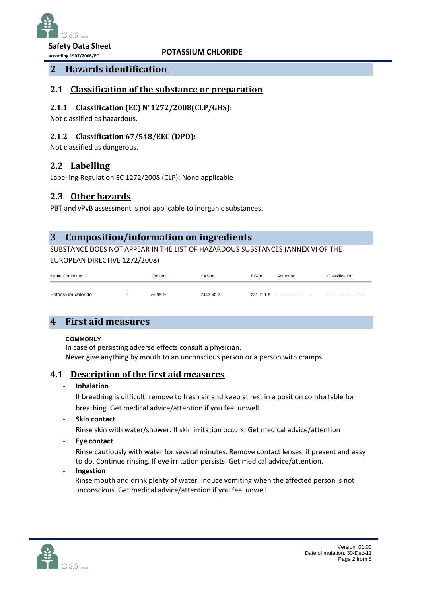

**according 1907/2006/EC**

**POTASSIUM CHLORIDE**

## **2 Hazards identification**

#### **Potassium Nitrate 2.1 Classification of the substance or preparation**

#### **2.1.1 Classification (EC) N°1272/2008(CLP/GHS):**

Not classified as hazardous.

#### **2.1.2 Classification 67/548/EEC (DPD):**

Not classified as dangerous.

### **2.2 Labelling**

Labelling Regulation EC 1272/2008 (CLP): None applicable

## **2.3 Other hazards**

PBT and vPvB assessment is not applicable to inorganic substances.

## **3 Composition/information on ingredients**

SUBSTANCE DOES NOT APPEAR IN THE LIST OF HAZARDOUS SUBSTANCES (ANNEX VI OF THE EUROPEAN DIRECTIVE 1272/2008)

| Name Component     |  | Content    | CAS-nr.   | EG-nr.    | Annex-nr                  | Classification              |
|--------------------|--|------------|-----------|-----------|---------------------------|-----------------------------|
| Potassium chloride |  | $>= 95 \%$ | 7447-40-7 | 231-211-8 | ------------------------- | --------------------------- |

## **4 First aid measures**

#### **COMMONLY**

In case of persisting adverse effects consult a physician. Never give anything by mouth to an unconscious person or a person with cramps.

#### **4.1 Description of the first aid measures**

#### - **Inhalation**

If breathing is difficult, remove to fresh air and keep at rest in a position comfortable for breathing. Get medical advice/attention if you feel unwell.

- **Skin contact**

Rinse skin with water/shower. If skin irritation occurs: Get medical advice/attention

- **Eye contact**

Rinse cautiously with water for several minutes. Remove contact lenses, if present and easy to do. Continue rinsing. If eye irritation persists: Get medical advice/attention.

- **Ingestion**

Rinse mouth and drink plenty of water. Induce vomiting when the affected person is not unconscious. Get medical advice/attention if you feel unwell.

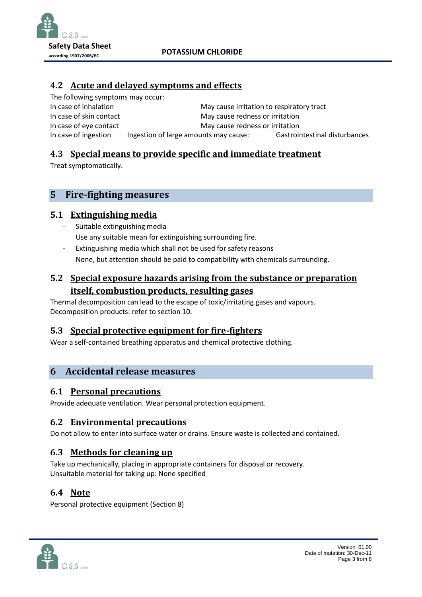

## **Potassium 4.2 Acute and delayed symptoms and effects**

The following symptoms may occur: In case of inhalation May cause irritation to respiratory tract In case of skin contact May cause redness or irritation In case of eye contact May cause redness or irritation In case of ingestion Ingestion of large amounts may cause: Gastrointestinal disturbances

## **4.3 Special means to provide specific and immediate treatment**

Treat symptomatically.

## **5 Fire-fighting measures**

## **5.1 Extinguishing media**

- Suitable extinguishing media Use any suitable mean for extinguishing surrounding fire.
- Extinguishing media which shall not be used for safety reasons None, but attention should be paid to compatibility with chemicals surrounding.

## **5.2 Special exposure hazards arising from the substance or preparation itself, combustion products, resulting gases**

Thermal decomposition can lead to the escape of toxic/irritating gases and vapours. Decomposition products: refer to section 10.

## **5.3 Special protective equipment for fire-fighters**

Wear a self-contained breathing apparatus and chemical protective clothing.

## **6 Accidental release measures**

## **6.1 Personal precautions**

Provide adequate ventilation. Wear personal protection equipment.

#### **6.2 Environmental precautions**

Do not allow to enter into surface water or drains. Ensure waste is collected and contained.

## **6.3 Methods for cleaning up**

Take up mechanically, placing in appropriate containers for disposal or recovery. Unsuitable material for taking up: None specified

## **6.4 Note**

Personal protective equipment (Section 8)

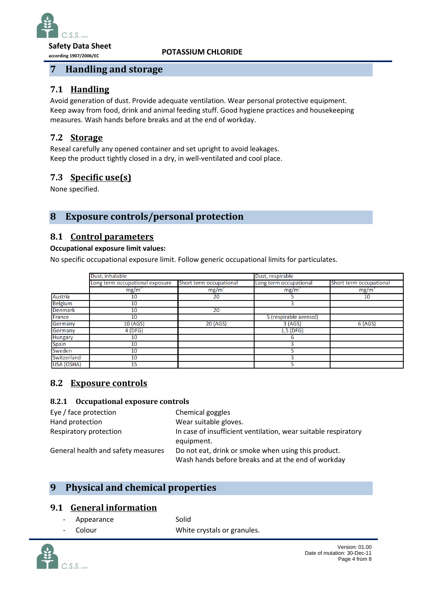

**according 1907/2006/EC**

**POTASSIUM CHLORIDE**

## **7 Handling and storage**

# **7.1 Handling**

111 **External generation of dust. Provide adequate ventilation. Wear personal protective equipment.** Keep away from food, drink and animal feeding stuff. Good hygiene practices and housekeeping measures. Wash hands before breaks and at the end of workday.

## **7.2 Storage**

Reseal carefully any opened container and set upright to avoid leakages. Keep the product tightly closed in a dry, in well-ventilated and cool place.

## **7.3 Specific use(s)**

None specified.

## **8 Exposure controls/personal protection**

### **8.1 Control parameters**

#### **Occupational exposure limit values:**

No specific occupational exposure limit. Follow generic occupational limits for particulates.

|                | Dust, inhalable                 |                         | Dust, respirable       | Short term occupational |  |
|----------------|---------------------------------|-------------------------|------------------------|-------------------------|--|
|                | Long term occupational exposure | Short term occupational | Long term occupational |                         |  |
|                | mg/m <sup>3</sup>               | mg/m <sup>3</sup>       | mg/m <sup>3</sup>      | mg/m <sup>3</sup>       |  |
| Austria        | 10                              | 20                      |                        | 10                      |  |
| <b>Belgium</b> | 10                              |                         |                        |                         |  |
| <b>Denmark</b> | 10                              | $\overline{20}$         |                        |                         |  |
| France         | 10                              |                         | 5 (respirable aerosol) |                         |  |
| Germany        | 10 (AGS)                        | 20 (AGS)                | 3 (AGS)                | 6 (AGS)                 |  |
| Germany        | 4(DFG)                          |                         | $1,5$ (DFG)            |                         |  |
| <b>Hungary</b> | 10                              |                         | ь                      |                         |  |
| <b>Spain</b>   | 10                              |                         |                        |                         |  |
| Sweden         | 10                              |                         |                        |                         |  |
| Switzerland    | 10                              |                         |                        |                         |  |
| USA (OSHA)     | 15                              |                         |                        |                         |  |

## **8.2 Exposure controls**

#### **8.2.1 Occupational exposure controls**

| Eye / face protection              | Chemical goggles                                                                                          |
|------------------------------------|-----------------------------------------------------------------------------------------------------------|
| Hand protection                    | Wear suitable gloves.                                                                                     |
| Respiratory protection             | In case of insufficient ventilation, wear suitable respiratory<br>equipment.                              |
| General health and safety measures | Do not eat, drink or smoke when using this product.<br>Wash hands before breaks and at the end of workday |

## **9 Physical and chemical properties**

## **9.1 General information**

Appearance Solid Colour **Colour** White crystals or granules.

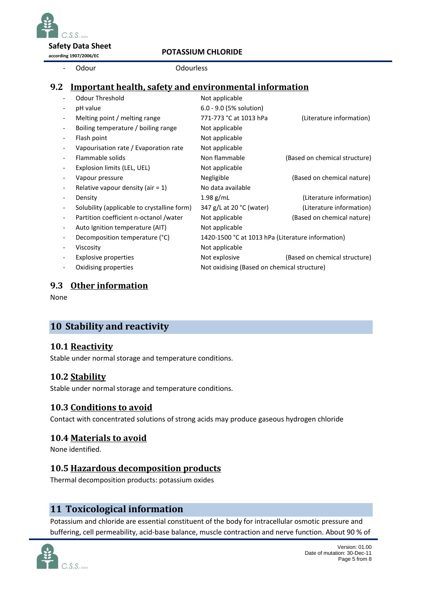$S.S.S.$  by  $S.$ **Safety Data Sheet**

**according 1907/2006/EC**

### **POTASSIUM CHLORIDE**

Odour **Odourless** 

## **9.2** Important health, safety and environmental information

| $\overline{\phantom{a}}$ | Odour Threshold                             | Not applicable                                    |                               |  |
|--------------------------|---------------------------------------------|---------------------------------------------------|-------------------------------|--|
| $\overline{\phantom{a}}$ | pH value                                    | 6.0 - 9.0 (5% solution)                           |                               |  |
| $\overline{\phantom{a}}$ | Melting point / melting range               | 771-773 °C at 1013 hPa                            | (Literature information)      |  |
| $\overline{\phantom{a}}$ | Boiling temperature / boiling range         | Not applicable                                    |                               |  |
| $\overline{\phantom{a}}$ | Flash point                                 | Not applicable                                    |                               |  |
| $\overline{\phantom{a}}$ | Vapourisation rate / Evaporation rate       | Not applicable                                    |                               |  |
| $\overline{\phantom{a}}$ | Flammable solids                            | Non flammable                                     | (Based on chemical structure) |  |
| $\overline{\phantom{a}}$ | Explosion limits (LEL, UEL)                 | Not applicable                                    |                               |  |
| $\overline{\phantom{a}}$ | Vapour pressure                             | Negligible                                        | (Based on chemical nature)    |  |
| $\overline{\phantom{a}}$ | Relative vapour density (air $= 1$ )        | No data available                                 |                               |  |
| $\overline{\phantom{a}}$ | Density                                     | $1.98$ g/mL                                       | (Literature information)      |  |
| $\overline{\phantom{a}}$ | Solubility (applicable to crystalline form) | 347 g/L at 20 °C (water)                          | (Literature information)      |  |
| $\overline{\phantom{a}}$ | Partition coefficient n-octanol /water      | Not applicable                                    | (Based on chemical nature)    |  |
| $\overline{\phantom{a}}$ | Auto Ignition temperature (AIT)             | Not applicable                                    |                               |  |
|                          | Decomposition temperature (°C)              | 1420-1500 °C at 1013 hPa (Literature information) |                               |  |
| $\overline{\phantom{a}}$ | Viscosity                                   | Not applicable                                    |                               |  |
| $\overline{\phantom{a}}$ | <b>Explosive properties</b>                 | Not explosive                                     | (Based on chemical structure) |  |
|                          | Oxidising properties                        | Not oxidising (Based on chemical structure)       |                               |  |
|                          |                                             |                                                   |                               |  |

#### **9.3 Other information**

None

## **10 Stability and reactivity**

#### **10.1 Reactivity**

Stable under normal storage and temperature conditions.

## **10.2 Stability**

Stable under normal storage and temperature conditions.

## **10.3 Conditions to avoid**

Contact with concentrated solutions of strong acids may produce gaseous hydrogen chloride

## **10.4 Materials to avoid**

None identified.

## **10.5 Hazardous decomposition products**

Thermal decomposition products: potassium oxides

## **11 Toxicological information**

Potassium and chloride are essential constituent of the body for intracellular osmotic pressure and buffering, cell permeability, acid-base balance, muscle contraction and nerve function. About 90 % of

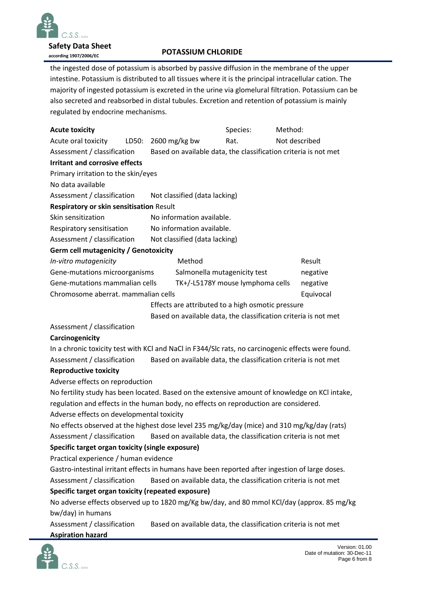

**Safety Data Sheet according 1907/2006/EC**

### **POTASSIUM CHLORIDE**

**Potassium**  majority of ingested potassium is excreted in the urine via glomelural filtration. Potassium can be **Nitrate** also secreted and reabsorbed in distal tubules. Excretion and retention of potassium is mainly the ingested dose of potassium is absorbed by passive diffusion in the membrane of the upper intestine. Potassium is distributed to all tissues where it is the principal intracellular cation. The regulated by endocrine mechanisms.

| <b>Acute toxicity</b>                                                                              |                                                                                                |                     |                               | Species:                                                        | Method:       |           |  |
|----------------------------------------------------------------------------------------------------|------------------------------------------------------------------------------------------------|---------------------|-------------------------------|-----------------------------------------------------------------|---------------|-----------|--|
| Acute oral toxicity                                                                                |                                                                                                | LD50: 2600 mg/kg bw |                               | Rat.                                                            | Not described |           |  |
|                                                                                                    | Assessment / classification<br>Based on available data, the classification criteria is not met |                     |                               |                                                                 |               |           |  |
| <b>Irritant and corrosive effects</b>                                                              |                                                                                                |                     |                               |                                                                 |               |           |  |
| Primary irritation to the skin/eyes                                                                |                                                                                                |                     |                               |                                                                 |               |           |  |
| No data available                                                                                  |                                                                                                |                     |                               |                                                                 |               |           |  |
| Assessment / classification<br>Not classified (data lacking)                                       |                                                                                                |                     |                               |                                                                 |               |           |  |
| Respiratory or skin sensitisation Result                                                           |                                                                                                |                     |                               |                                                                 |               |           |  |
| Skin sensitization                                                                                 |                                                                                                |                     | No information available.     |                                                                 |               |           |  |
| Respiratory sensitisation                                                                          |                                                                                                |                     | No information available.     |                                                                 |               |           |  |
| Assessment / classification                                                                        |                                                                                                |                     | Not classified (data lacking) |                                                                 |               |           |  |
| Germ cell mutagenicity / Genotoxicity                                                              |                                                                                                |                     |                               |                                                                 |               |           |  |
| In-vitro mutagenicity                                                                              |                                                                                                |                     | Method                        |                                                                 |               | Result    |  |
| Gene-mutations microorganisms                                                                      |                                                                                                |                     | Salmonella mutagenicity test  |                                                                 |               | negative  |  |
| Gene-mutations mammalian cells                                                                     |                                                                                                |                     |                               | TK+/-L5178Y mouse lymphoma cells                                |               | negative  |  |
| Chromosome aberrat. mammalian cells                                                                |                                                                                                |                     |                               |                                                                 |               | Equivocal |  |
|                                                                                                    |                                                                                                |                     |                               | Effects are attributed to a high osmotic pressure               |               |           |  |
|                                                                                                    |                                                                                                |                     |                               | Based on available data, the classification criteria is not met |               |           |  |
| Assessment / classification                                                                        |                                                                                                |                     |                               |                                                                 |               |           |  |
| Carcinogenicity                                                                                    |                                                                                                |                     |                               |                                                                 |               |           |  |
| In a chronic toxicity test with KCI and NaCI in F344/SIc rats, no carcinogenic effects were found. |                                                                                                |                     |                               |                                                                 |               |           |  |
| Based on available data, the classification criteria is not met<br>Assessment / classification     |                                                                                                |                     |                               |                                                                 |               |           |  |
| <b>Reproductive toxicity</b>                                                                       |                                                                                                |                     |                               |                                                                 |               |           |  |
| Adverse effects on reproduction                                                                    |                                                                                                |                     |                               |                                                                 |               |           |  |
| No fertility study has been located. Based on the extensive amount of knowledge on KCl intake,     |                                                                                                |                     |                               |                                                                 |               |           |  |
| regulation and effects in the human body, no effects on reproduction are considered.               |                                                                                                |                     |                               |                                                                 |               |           |  |
| Adverse effects on developmental toxicity                                                          |                                                                                                |                     |                               |                                                                 |               |           |  |
| No effects observed at the highest dose level 235 mg/kg/day (mice) and 310 mg/kg/day (rats)        |                                                                                                |                     |                               |                                                                 |               |           |  |
| Based on available data, the classification criteria is not met<br>Assessment / classification     |                                                                                                |                     |                               |                                                                 |               |           |  |
| Specific target organ toxicity (single exposure)                                                   |                                                                                                |                     |                               |                                                                 |               |           |  |
| Practical experience / human evidence                                                              |                                                                                                |                     |                               |                                                                 |               |           |  |
| Gastro-intestinal irritant effects in humans have been reported after ingestion of large doses.    |                                                                                                |                     |                               |                                                                 |               |           |  |
| Assessment / classification<br>Based on available data, the classification criteria is not met     |                                                                                                |                     |                               |                                                                 |               |           |  |
| Specific target organ toxicity (repeated exposure)                                                 |                                                                                                |                     |                               |                                                                 |               |           |  |
| No adverse effects observed up to 1820 mg/Kg bw/day, and 80 mmol KCl/day (approx. 85 mg/kg         |                                                                                                |                     |                               |                                                                 |               |           |  |
| bw/day) in humans                                                                                  |                                                                                                |                     |                               |                                                                 |               |           |  |
| Assessment / classification                                                                        |                                                                                                |                     |                               | Based on available data, the classification criteria is not met |               |           |  |
| <b>Aspiration hazard</b>                                                                           |                                                                                                |                     |                               |                                                                 |               |           |  |
|                                                                                                    |                                                                                                |                     |                               |                                                                 |               |           |  |

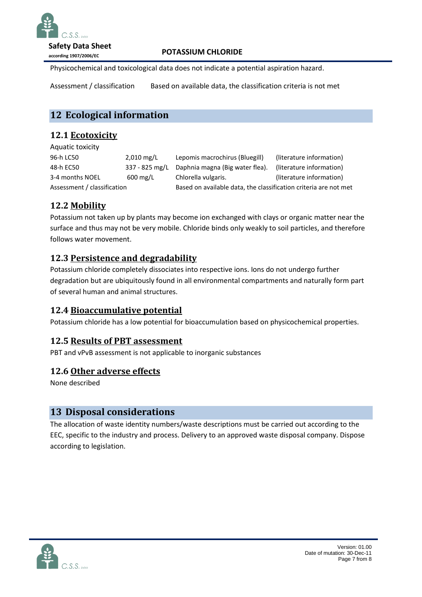

**Safety Data Sheet**

**according 1907/2006/EC**

#### **POTASSIUM CHLORIDE**

Physicochemical and toxicological data does not indicate a potential aspiration hazard.

**Assessment / classification** Based on available data, the classification criteria is not met

## **12 Ecological information**

## **12.1 Ecotoxicity**

Aquatic toxicity

96-h LC50 2,010 mg/L Lepomis macrochirus (Bluegill) (literature information) 48-h EC50 337 - 825 mg/L Daphnia magna (Big water flea). (literature information) 3-4 months NOEL 600 mg/L Chlorella vulgaris. (literature information) Assessment / classification Based on available data, the classification criteria are not met

## **12.2 Mobility**

Potassium not taken up by plants may become ion exchanged with clays or organic matter near the surface and thus may not be very mobile. Chloride binds only weakly to soil particles, and therefore follows water movement.

## **12.3 Persistence and degradability**

Potassium chloride completely dissociates into respective ions. Ions do not undergo further degradation but are ubiquitously found in all environmental compartments and naturally form part of several human and animal structures.

## **12.4 Bioaccumulative potential**

Potassium chloride has a low potential for bioaccumulation based on physicochemical properties.

## **12.5 Results of PBT assessment**

PBT and vPvB assessment is not applicable to inorganic substances

## **12.6 Other adverse effects**

None described

## **13 Disposal considerations**

The allocation of waste identity numbers/waste descriptions must be carried out according to the EEC, specific to the industry and process. Delivery to an approved waste disposal company. Dispose according to legislation.